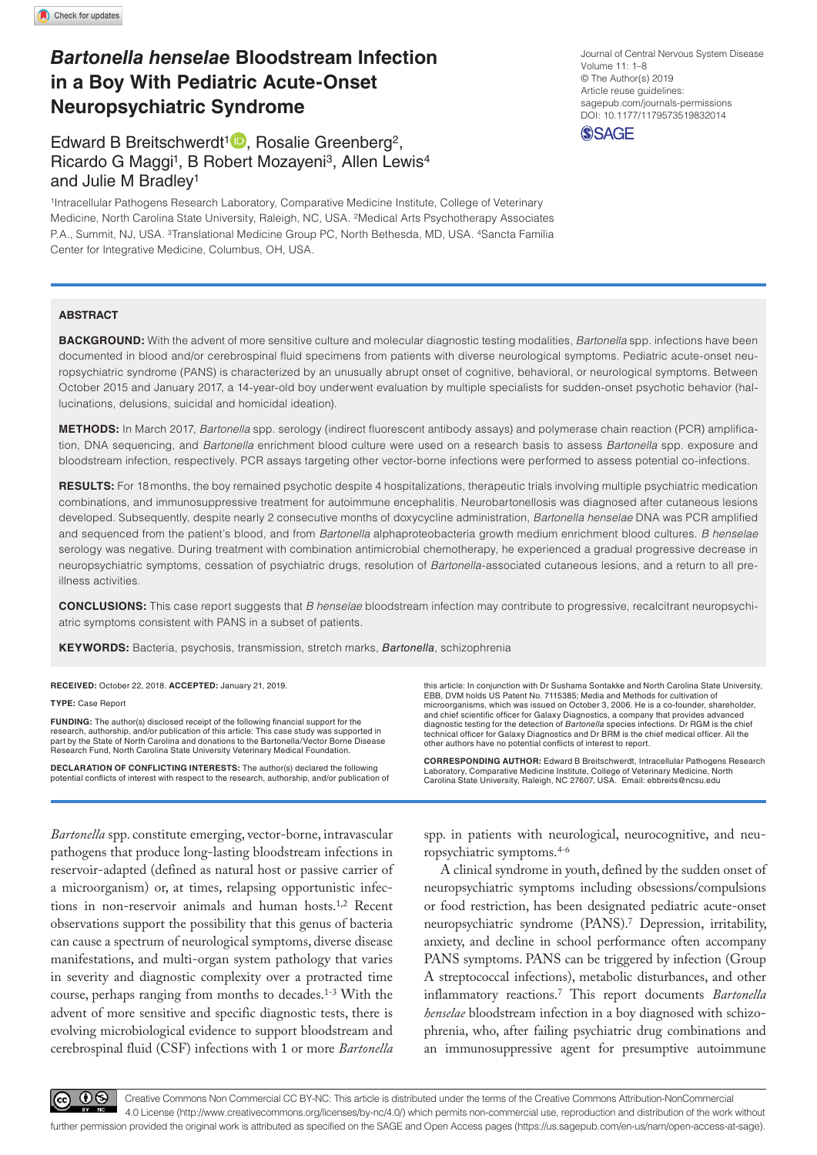# *Bartonella henselae* **Bloodstream Infection in a Boy With Pediatric Acute-Onset Neuropsychiatric Syndrome**

# Edward B Breitschwerdt<sup>1</sup><sup>D</sup>, Rosalie Greenberg<sup>2</sup>, Ricardo G Maggi<sup>1</sup>, B Robert Mozayeni<sup>3</sup>, Allen Lewis<sup>4</sup> and Julie M Bradley1

1Intracellular Pathogens Research Laboratory, Comparative Medicine Institute, College of Veterinary Medicine, North Carolina State University, Raleigh, NC, USA. 2Medical Arts Psychotherapy Associates P.A., Summit, NJ, USA. 3Translational Medicine Group PC, North Bethesda, MD, USA. 4Sancta Familia Center for Integrative Medicine, Columbus, OH, USA.

#### **ABSTRACT**

**Background:** With the advent of more sensitive culture and molecular diagnostic testing modalities, *Bartonella* spp. infections have been documented in blood and/or cerebrospinal fluid specimens from patients with diverse neurological symptoms. Pediatric acute-onset neuropsychiatric syndrome (PANS) is characterized by an unusually abrupt onset of cognitive, behavioral, or neurological symptoms. Between October 2015 and January 2017, a 14-year-old boy underwent evaluation by multiple specialists for sudden-onset psychotic behavior (hallucinations, delusions, suicidal and homicidal ideation).

**Methods:** In March 2017, *Bartonella* spp. serology (indirect fluorescent antibody assays) and polymerase chain reaction (PCR) amplification, DNA sequencing, and *Bartonella* enrichment blood culture were used on a research basis to assess *Bartonella* spp. exposure and bloodstream infection, respectively. PCR assays targeting other vector-borne infections were performed to assess potential co-infections.

RESULTS: For 18 months, the boy remained psychotic despite 4 hospitalizations, therapeutic trials involving multiple psychiatric medication combinations, and immunosuppressive treatment for autoimmune encephalitis. Neurobartonellosis was diagnosed after cutaneous lesions developed. Subsequently, despite nearly 2 consecutive months of doxycycline administration, *Bartonella henselae* DNA was PCR amplified and sequenced from the patient's blood, and from *Bartonella* alphaproteobacteria growth medium enrichment blood cultures. *B henselae* serology was negative. During treatment with combination antimicrobial chemotherapy, he experienced a gradual progressive decrease in neuropsychiatric symptoms, cessation of psychiatric drugs, resolution of *Bartonella*-associated cutaneous lesions, and a return to all preillness activities.

**Conclusions:** This case report suggests that *B henselae* bloodstream infection may contribute to progressive, recalcitrant neuropsychiatric symptoms consistent with PANS in a subset of patients.

**Keywords:** Bacteria, psychosis, transmission, stretch marks, *Bartonella*, schizophrenia

**RECEIVED:** October 22, 2018. **ACCEPTED:** January 21, 2019.

**Type:** Case Report

**FUNDING:** The author(s) disclosed receipt of the following financial support for the<br>research, authorship, and/or publication of this article: This case study was supported in<br>part by the State of North Carolina and donat Research Fund, North Carolina State University Veterinary Medical Foundation.

**Declaration of conflicting interests:** The author(s) declared the following potential conflicts of interest with respect to the research, authorship, and/or publication of

*Bartonella* spp. constitute emerging, vector-borne, intravascular pathogens that produce long-lasting bloodstream infections in reservoir-adapted (defined as natural host or passive carrier of a microorganism) or, at times, relapsing opportunistic infections in non-reservoir animals and human hosts.<sup>1,2</sup> Recent observations support the possibility that this genus of bacteria can cause a spectrum of neurological symptoms, diverse disease manifestations, and multi-organ system pathology that varies in severity and diagnostic complexity over a protracted time course, perhaps ranging from months to decades.1-3 With the advent of more sensitive and specific diagnostic tests, there is evolving microbiological evidence to support bloodstream and cerebrospinal fluid (CSF) infections with 1 or more *Bartonella*

this article: In conjunction with Dr Sushama Sontakke and North Carolina State University, EBB, DVM holds US Patent No. 7115385; Media and Methods for cultivation of microorganisms, which was issued on October 3, 2006. He is a co-founder, shareholder, and chief scientific officer for Galaxy Diagnostics, a company that provides advanced diagnostic testing for the detection of *Bartonella* species infections. Dr RGM is the chief technical officer for Galaxy Diagnostics and Dr BRM is the chief medical officer. All the other authors have no potential conflicts of interest to report.

**CORRESPONDING AUTHOR:** Edward B Breitschwerdt, Intracellular Pathogens Research Laboratory, Comparative Medicine Institute, College of Veterinary Medicine, North Carolina State University, Raleigh, NC 27607, USA. Email: [ebbreits@ncsu.edu](mailto:ebbreits@ncsu.edu)

spp. in patients with neurological, neurocognitive, and neuropsychiatric symptoms.4-6

A clinical syndrome in youth, defined by the sudden onset of neuropsychiatric symptoms including obsessions/compulsions or food restriction, has been designated pediatric acute-onset neuropsychiatric syndrome (PANS).7 Depression, irritability, anxiety, and decline in school performance often accompany PANS symptoms. PANS can be triggered by infection (Group A streptococcal infections), metabolic disturbances, and other inflammatory reactions.7 This report documents *Bartonella henselae* bloodstream infection in a boy diagnosed with schizophrenia, who, after failing psychiatric drug combinations and an immunosuppressive agent for presumptive autoimmune

https://doi.org/10.1177/1179573519832014 DOI: 10.1177/1179573519832014 Journal of Central Nervous System Disease Volume 11: 1–8 © The Author(s) 2019 Article reuse guidelines: [sagepub.com/journals-permissions](https://uk.sagepub.com/en-gb/journals-permissions)



 $0$ 

Creative Commons Non Commercial CC BY-NC: This article is distributed under the terms of the Creative Commons Attribution-NonCommercial 4.0 License (http://www.creativecommons.org/licenses/by-nc/4.0/) which permits non-commercial use, reproduction and distribution of the work without further permission provided the original work is attributed as specified on the SAGE and Open Access pages (https://us.sagepub.com/en-us/nam/open-access-at-sage).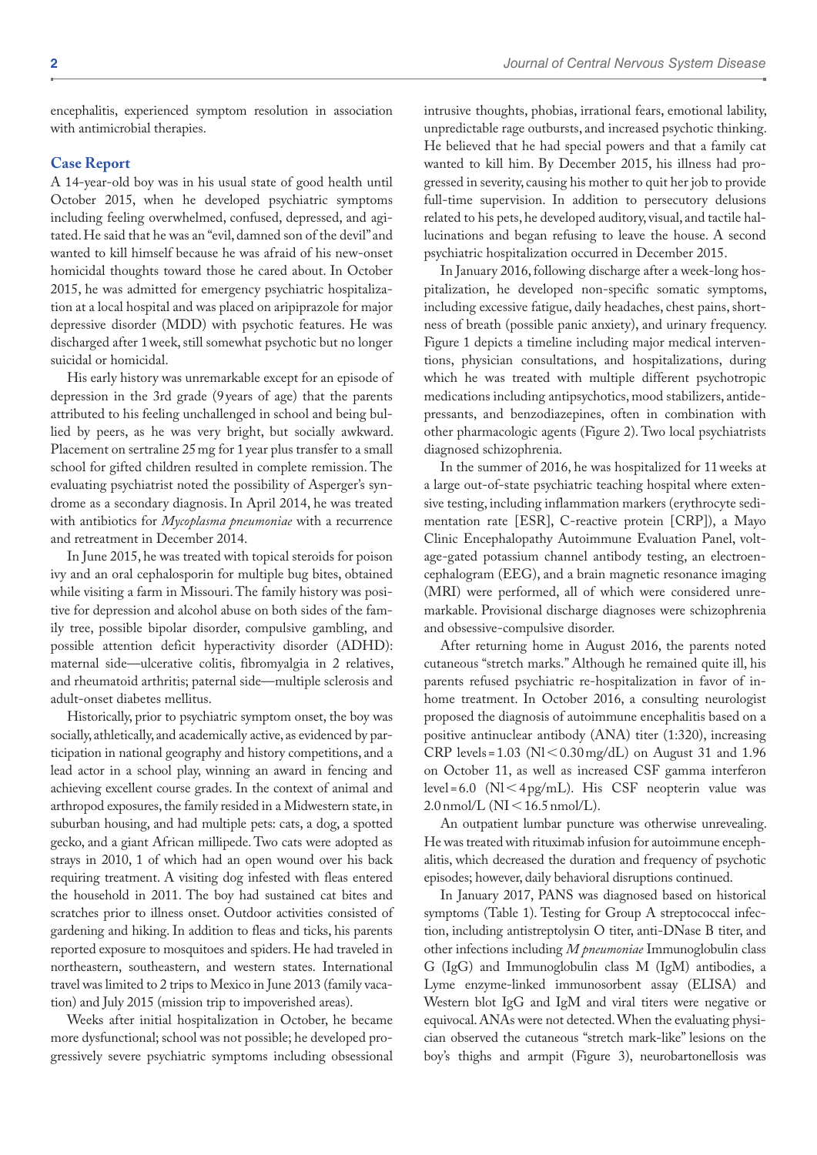encephalitis, experienced symptom resolution in association with antimicrobial therapies.

#### **Case Report**

A 14-year-old boy was in his usual state of good health until October 2015, when he developed psychiatric symptoms including feeling overwhelmed, confused, depressed, and agitated. He said that he was an "evil, damned son of the devil" and wanted to kill himself because he was afraid of his new-onset homicidal thoughts toward those he cared about. In October 2015, he was admitted for emergency psychiatric hospitalization at a local hospital and was placed on aripiprazole for major depressive disorder (MDD) with psychotic features. He was discharged after 1week, still somewhat psychotic but no longer suicidal or homicidal.

His early history was unremarkable except for an episode of depression in the 3rd grade (9 years of age) that the parents attributed to his feeling unchallenged in school and being bullied by peers, as he was very bright, but socially awkward. Placement on sertraline 25mg for 1 year plus transfer to a small school for gifted children resulted in complete remission. The evaluating psychiatrist noted the possibility of Asperger's syndrome as a secondary diagnosis. In April 2014, he was treated with antibiotics for *Mycoplasma pneumoniae* with a recurrence and retreatment in December 2014.

In June 2015, he was treated with topical steroids for poison ivy and an oral cephalosporin for multiple bug bites, obtained while visiting a farm in Missouri. The family history was positive for depression and alcohol abuse on both sides of the family tree, possible bipolar disorder, compulsive gambling, and possible attention deficit hyperactivity disorder (ADHD): maternal side—ulcerative colitis, fibromyalgia in 2 relatives, and rheumatoid arthritis; paternal side—multiple sclerosis and adult-onset diabetes mellitus.

Historically, prior to psychiatric symptom onset, the boy was socially, athletically, and academically active, as evidenced by participation in national geography and history competitions, and a lead actor in a school play, winning an award in fencing and achieving excellent course grades. In the context of animal and arthropod exposures, the family resided in a Midwestern state, in suburban housing, and had multiple pets: cats, a dog, a spotted gecko, and a giant African millipede. Two cats were adopted as strays in 2010, 1 of which had an open wound over his back requiring treatment. A visiting dog infested with fleas entered the household in 2011. The boy had sustained cat bites and scratches prior to illness onset. Outdoor activities consisted of gardening and hiking. In addition to fleas and ticks, his parents reported exposure to mosquitoes and spiders. He had traveled in northeastern, southeastern, and western states. International travel was limited to 2 trips to Mexico in June 2013 (family vacation) and July 2015 (mission trip to impoverished areas).

Weeks after initial hospitalization in October, he became more dysfunctional; school was not possible; he developed progressively severe psychiatric symptoms including obsessional

intrusive thoughts, phobias, irrational fears, emotional lability, unpredictable rage outbursts, and increased psychotic thinking. He believed that he had special powers and that a family cat wanted to kill him. By December 2015, his illness had progressed in severity, causing his mother to quit her job to provide full-time supervision. In addition to persecutory delusions related to his pets, he developed auditory, visual, and tactile hallucinations and began refusing to leave the house. A second psychiatric hospitalization occurred in December 2015.

In January 2016, following discharge after a week-long hospitalization, he developed non-specific somatic symptoms, including excessive fatigue, daily headaches, chest pains, shortness of breath (possible panic anxiety), and urinary frequency. Figure 1 depicts a timeline including major medical interventions, physician consultations, and hospitalizations, during which he was treated with multiple different psychotropic medications including antipsychotics, mood stabilizers, antidepressants, and benzodiazepines, often in combination with other pharmacologic agents (Figure 2). Two local psychiatrists diagnosed schizophrenia.

In the summer of 2016, he was hospitalized for 11weeks at a large out-of-state psychiatric teaching hospital where extensive testing, including inflammation markers (erythrocyte sedimentation rate [ESR], C-reactive protein [CRP]), a Mayo Clinic Encephalopathy Autoimmune Evaluation Panel, voltage-gated potassium channel antibody testing, an electroencephalogram (EEG), and a brain magnetic resonance imaging (MRI) were performed, all of which were considered unremarkable. Provisional discharge diagnoses were schizophrenia and obsessive-compulsive disorder.

After returning home in August 2016, the parents noted cutaneous "stretch marks." Although he remained quite ill, his parents refused psychiatric re-hospitalization in favor of inhome treatment. In October 2016, a consulting neurologist proposed the diagnosis of autoimmune encephalitis based on a positive antinuclear antibody (ANA) titer (1:320), increasing  $CRP$  levels = 1.03 ( $NI < 0.30$  mg/dL) on August 31 and 1.96 on October 11, as well as increased CSF gamma interferon level = 6.0 ( $N$ l < 4 pg/mL). His CSF neopterin value was  $2.0$  nmol/L (NI < 16.5 nmol/L).

An outpatient lumbar puncture was otherwise unrevealing. He was treated with rituximab infusion for autoimmune encephalitis, which decreased the duration and frequency of psychotic episodes; however, daily behavioral disruptions continued.

In January 2017, PANS was diagnosed based on historical symptoms (Table 1). Testing for Group A streptococcal infection, including antistreptolysin O titer, anti-DNase B titer, and other infections including *M pneumoniae* Immunoglobulin class G (IgG) and Immunoglobulin class M (IgM) antibodies, a Lyme enzyme-linked immunosorbent assay (ELISA) and Western blot IgG and IgM and viral titers were negative or equivocal. ANAs were not detected. When the evaluating physician observed the cutaneous "stretch mark-like" lesions on the boy's thighs and armpit (Figure 3), neurobartonellosis was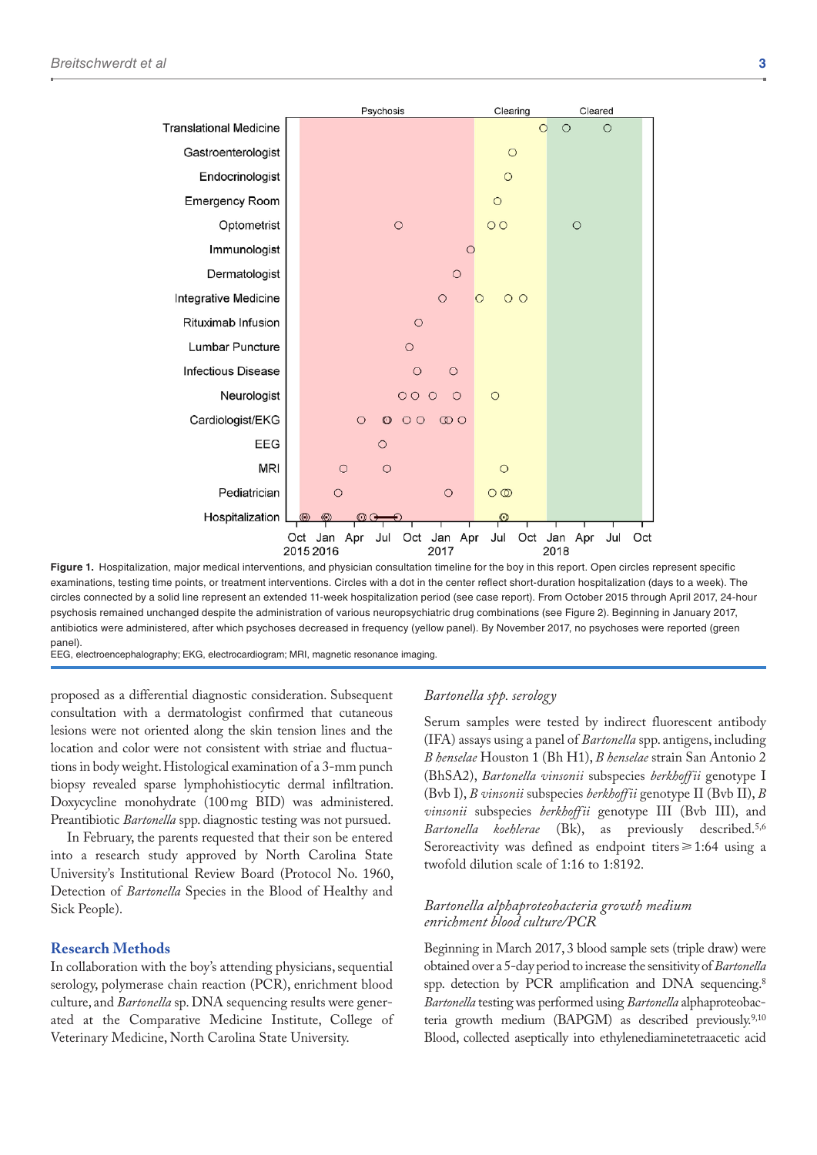

Figure 1. Hospitalization, major medical interventions, and physician consultation timeline for the boy in this report. Open circles represent specific examinations, testing time points, or treatment interventions. Circles with a dot in the center reflect short-duration hospitalization (days to a week). The circles connected by a solid line represent an extended 11-week hospitalization period (see case report). From October 2015 through April 2017, 24-hour psychosis remained unchanged despite the administration of various neuropsychiatric drug combinations (see Figure 2). Beginning in January 2017, antibiotics were administered, after which psychoses decreased in frequency (yellow panel). By November 2017, no psychoses were reported (green panel).

EEG, electroencephalography; EKG, electrocardiogram; MRI, magnetic resonance imaging.

proposed as a differential diagnostic consideration. Subsequent consultation with a dermatologist confirmed that cutaneous lesions were not oriented along the skin tension lines and the location and color were not consistent with striae and fluctuations in body weight. Histological examination of a 3-mm punch biopsy revealed sparse lymphohistiocytic dermal infiltration. Doxycycline monohydrate (100mg BID) was administered. Preantibiotic *Bartonella* spp. diagnostic testing was not pursued.

In February, the parents requested that their son be entered into a research study approved by North Carolina State University's Institutional Review Board (Protocol No. 1960, Detection of *Bartonella* Species in the Blood of Healthy and Sick People).

## **Research Methods**

In collaboration with the boy's attending physicians, sequential serology, polymerase chain reaction (PCR), enrichment blood culture, and *Bartonella* sp. DNA sequencing results were generated at the Comparative Medicine Institute, College of Veterinary Medicine, North Carolina State University.

# *Bartonella spp. serology*

Serum samples were tested by indirect fluorescent antibody (IFA) assays using a panel of *Bartonella* spp. antigens, including *B henselae* Houston 1 (Bh H1), *B henselae* strain San Antonio 2 (BhSA2), *Bartonella vinsonii* subspecies *berkhoffii* genotype I (Bvb I), *B vinsonii* subspecies *berkhoffii* genotype II (Bvb II), *B vinsonii* subspecies *berkhoffii* genotype III (Bvb III), and *Bartonella koehlerae* (Bk), as previously described.5,6 Seroreactivity was defined as endpoint titers $\geq 1:64$  using a twofold dilution scale of 1:16 to 1:8192.

### *Bartonella alphaproteobacteria growth medium enrichment blood culture/PCR*

Beginning in March 2017, 3 blood sample sets (triple draw) were obtained over a 5-day period to increase the sensitivity of *Bartonella* spp. detection by PCR amplification and DNA sequencing.<sup>8</sup> *Bartonella* testing was performed using *Bartonella* alphaproteobacteria growth medium (BAPGM) as described previously.<sup>9,10</sup> Blood, collected aseptically into ethylenediaminetetraacetic acid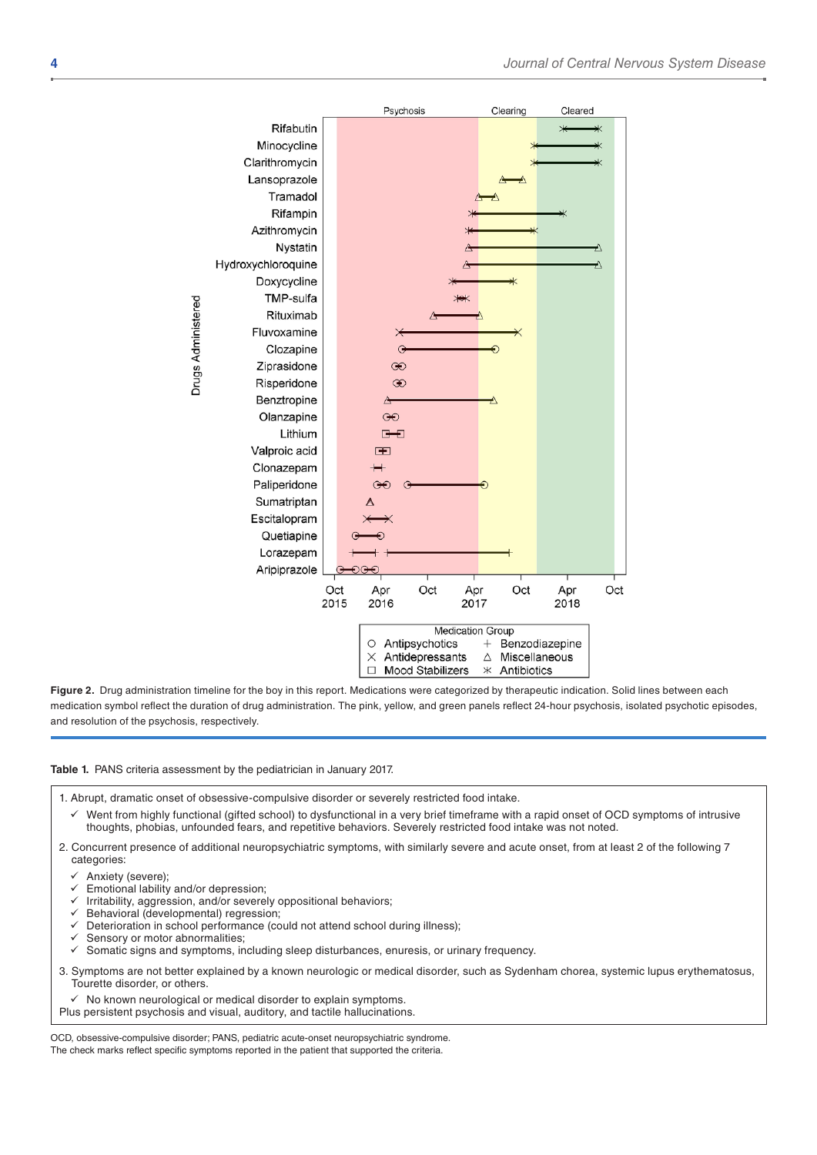

Figure 2. Drug administration timeline for the boy in this report. Medications were categorized by therapeutic indication. Solid lines between each medication symbol reflect the duration of drug administration. The pink, yellow, and green panels reflect 24-hour psychosis, isolated psychotic episodes, and resolution of the psychosis, respectively.

#### **Table 1.** PANS criteria assessment by the pediatrician in January 2017.

- 1. Abrupt, dramatic onset of obsessive-compulsive disorder or severely restricted food intake.
- Went from highly functional (gifted school) to dysfunctional in a very brief timeframe with a rapid onset of OCD symptoms of intrusive thoughts, phobias, unfounded fears, and repetitive behaviors. Severely restricted food intake was not noted.
- 2. Concurrent presence of additional neuropsychiatric symptoms, with similarly severe and acute onset, from at least 2 of the following 7 categories:
	- Anxiety (severe);
	- Emotional lability and/or depression;
	- Irritability, aggression, and/or severely oppositional behaviors;
	- Behavioral (developmental) regression;
	- Deterioration in school performance (could not attend school during illness);
	- Sensory or motor abnormalities;
	- Somatic signs and symptoms, including sleep disturbances, enuresis, or urinary frequency.
- 3. Symptoms are not better explained by a known neurologic or medical disorder, such as Sydenham chorea, systemic lupus erythematosus, Tourette disorder, or others.
	- No known neurological or medical disorder to explain symptoms.
- Plus persistent psychosis and visual, auditory, and tactile hallucinations.

OCD, obsessive-compulsive disorder; PANS, pediatric acute-onset neuropsychiatric syndrome. The check marks reflect specific symptoms reported in the patient that supported the criteria.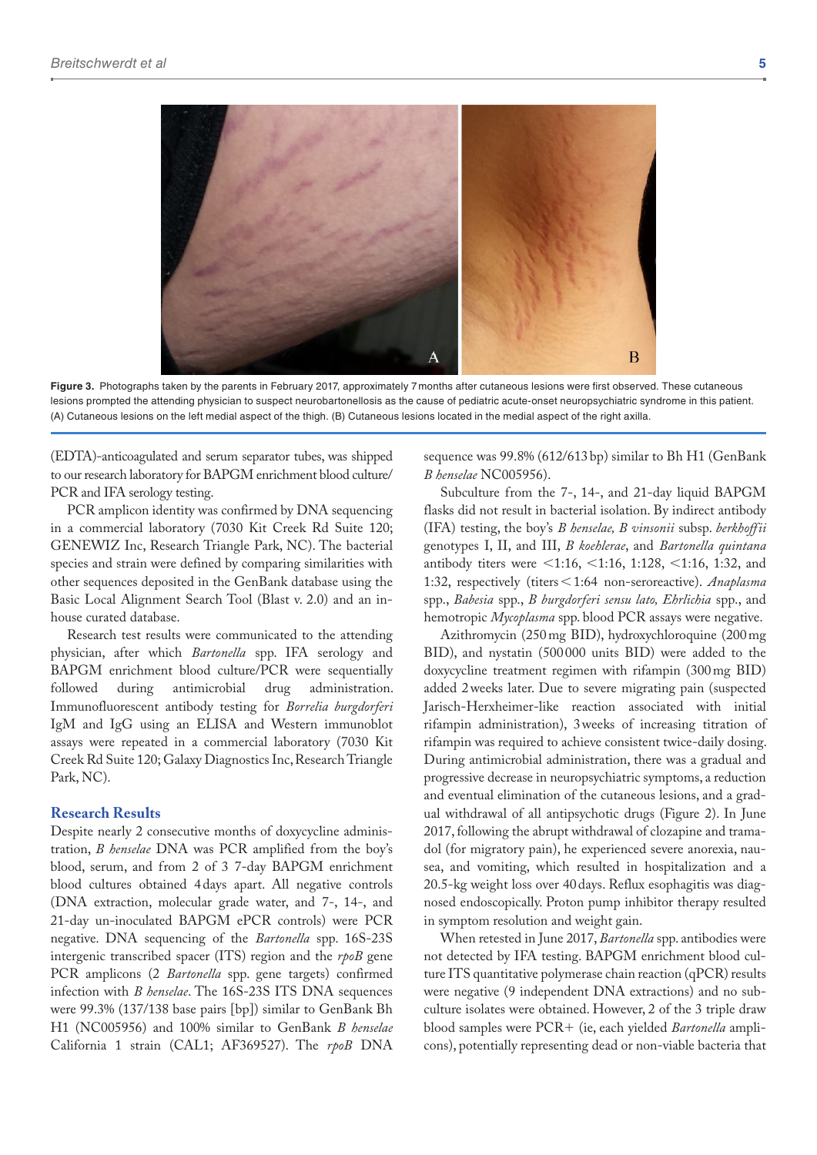

**Figure 3.** Photographs taken by the parents in February 2017, approximately 7months after cutaneous lesions were first observed. These cutaneous lesions prompted the attending physician to suspect neurobartonellosis as the cause of pediatric acute-onset neuropsychiatric syndrome in this patient. (A) Cutaneous lesions on the left medial aspect of the thigh. (B) Cutaneous lesions located in the medial aspect of the right axilla.

(EDTA)-anticoagulated and serum separator tubes, was shipped to our research laboratory for BAPGM enrichment blood culture/ PCR and IFA serology testing.

PCR amplicon identity was confirmed by DNA sequencing in a commercial laboratory (7030 Kit Creek Rd Suite 120; GENEWIZ Inc, Research Triangle Park, NC). The bacterial species and strain were defined by comparing similarities with other sequences deposited in the GenBank database using the Basic Local Alignment Search Tool (Blast v. 2.0) and an inhouse curated database.

Research test results were communicated to the attending physician, after which *Bartonella* spp. IFA serology and BAPGM enrichment blood culture/PCR were sequentially followed during antimicrobial drug administration. Immunofluorescent antibody testing for *Borrelia burgdorferi* IgM and IgG using an ELISA and Western immunoblot assays were repeated in a commercial laboratory (7030 Kit Creek Rd Suite 120; Galaxy Diagnostics Inc, Research Triangle Park, NC).

# **Research Results**

Despite nearly 2 consecutive months of doxycycline administration, *B henselae* DNA was PCR amplified from the boy's blood, serum, and from 2 of 3 7-day BAPGM enrichment blood cultures obtained 4days apart. All negative controls (DNA extraction, molecular grade water, and 7-, 14-, and 21-day un-inoculated BAPGM ePCR controls) were PCR negative. DNA sequencing of the *Bartonella* spp. 16S-23S intergenic transcribed spacer (ITS) region and the *rpoB* gene PCR amplicons (2 *Bartonella* spp. gene targets) confirmed infection with *B henselae*. The 16S-23S ITS DNA sequences were 99.3% (137/138 base pairs [bp]) similar to GenBank Bh H1 (NC005956) and 100% similar to GenBank *B henselae* California 1 strain (CAL1; AF369527). The *rpoB* DNA sequence was 99.8% (612/613bp) similar to Bh H1 (GenBank *B henselae* NC005956).

Subculture from the 7-, 14-, and 21-day liquid BAPGM flasks did not result in bacterial isolation. By indirect antibody (IFA) testing, the boy's *B henselae, B vinsonii* subsp. *berkhoffii* genotypes I, II, and III, *B koehlerae*, and *Bartonella quintana* antibody titers were <1:16, <1:16, 1:128, <1:16, 1:32, and 1:32, respectively (titers<1:64 non-seroreactive). *Anaplasma* spp., *Babesia* spp., *B burgdorferi sensu lato, Ehrlichia* spp., and hemotropic *Mycoplasma* spp. blood PCR assays were negative.

Azithromycin (250mg BID), hydroxychloroquine (200mg BID), and nystatin (500 000 units BID) were added to the doxycycline treatment regimen with rifampin (300mg BID) added 2weeks later. Due to severe migrating pain (suspected Jarisch-Herxheimer-like reaction associated with initial rifampin administration), 3weeks of increasing titration of rifampin was required to achieve consistent twice-daily dosing. During antimicrobial administration, there was a gradual and progressive decrease in neuropsychiatric symptoms, a reduction and eventual elimination of the cutaneous lesions, and a gradual withdrawal of all antipsychotic drugs (Figure 2). In June 2017, following the abrupt withdrawal of clozapine and tramadol (for migratory pain), he experienced severe anorexia, nausea, and vomiting, which resulted in hospitalization and a 20.5-kg weight loss over 40days. Reflux esophagitis was diagnosed endoscopically. Proton pump inhibitor therapy resulted in symptom resolution and weight gain.

When retested in June 2017, *Bartonella* spp. antibodies were not detected by IFA testing. BAPGM enrichment blood culture ITS quantitative polymerase chain reaction (qPCR) results were negative (9 independent DNA extractions) and no subculture isolates were obtained. However, 2 of the 3 triple draw blood samples were PCR+ (ie, each yielded *Bartonella* amplicons), potentially representing dead or non-viable bacteria that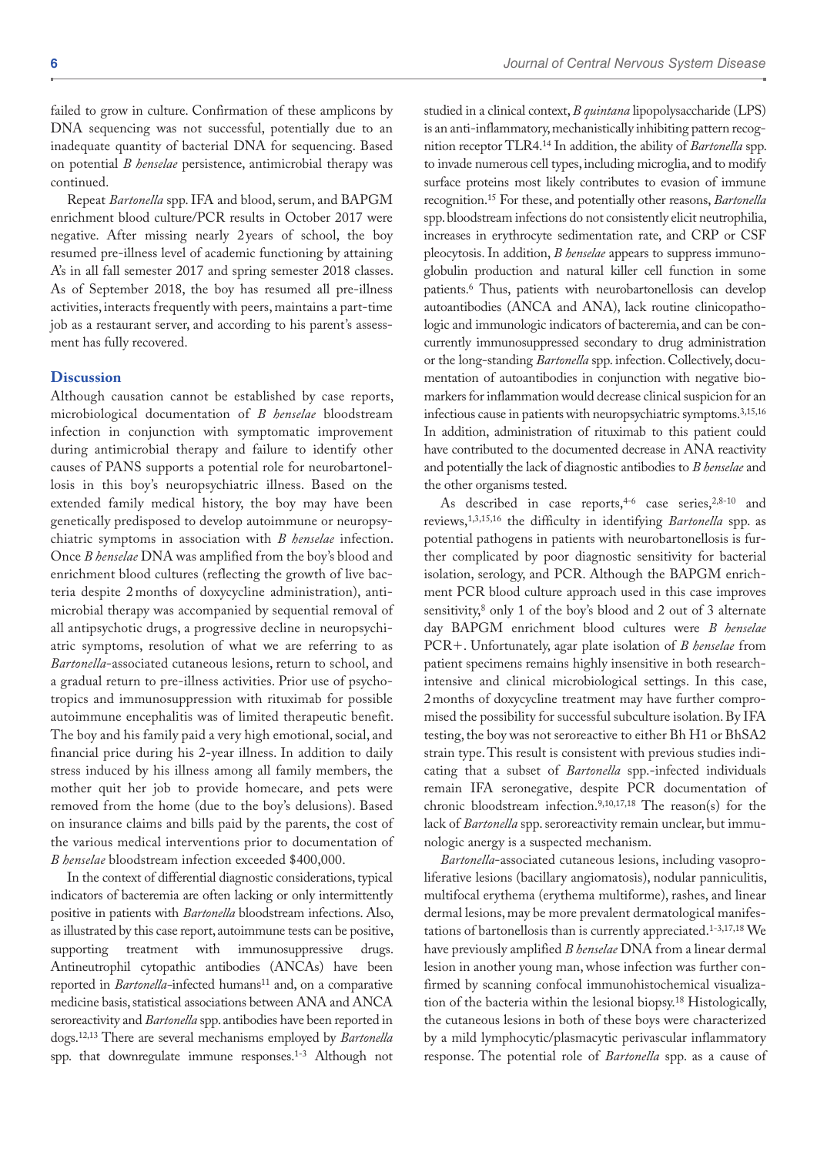failed to grow in culture. Confirmation of these amplicons by DNA sequencing was not successful, potentially due to an inadequate quantity of bacterial DNA for sequencing. Based on potential *B henselae* persistence, antimicrobial therapy was continued.

Repeat *Bartonella* spp. IFA and blood, serum, and BAPGM enrichment blood culture/PCR results in October 2017 were negative. After missing nearly 2years of school, the boy resumed pre-illness level of academic functioning by attaining A's in all fall semester 2017 and spring semester 2018 classes. As of September 2018, the boy has resumed all pre-illness activities, interacts frequently with peers, maintains a part-time job as a restaurant server, and according to his parent's assessment has fully recovered.

#### **Discussion**

Although causation cannot be established by case reports, microbiological documentation of *B henselae* bloodstream infection in conjunction with symptomatic improvement during antimicrobial therapy and failure to identify other causes of PANS supports a potential role for neurobartonellosis in this boy's neuropsychiatric illness. Based on the extended family medical history, the boy may have been genetically predisposed to develop autoimmune or neuropsychiatric symptoms in association with *B henselae* infection. Once *B henselae* DNA was amplified from the boy's blood and enrichment blood cultures (reflecting the growth of live bacteria despite 2 months of doxycycline administration), antimicrobial therapy was accompanied by sequential removal of all antipsychotic drugs, a progressive decline in neuropsychiatric symptoms, resolution of what we are referring to as *Bartonella*-associated cutaneous lesions, return to school, and a gradual return to pre-illness activities. Prior use of psychotropics and immunosuppression with rituximab for possible autoimmune encephalitis was of limited therapeutic benefit. The boy and his family paid a very high emotional, social, and financial price during his 2-year illness. In addition to daily stress induced by his illness among all family members, the mother quit her job to provide homecare, and pets were removed from the home (due to the boy's delusions). Based on insurance claims and bills paid by the parents, the cost of the various medical interventions prior to documentation of *B henselae* bloodstream infection exceeded \$400,000.

In the context of differential diagnostic considerations, typical indicators of bacteremia are often lacking or only intermittently positive in patients with *Bartonella* bloodstream infections. Also, as illustrated by this case report, autoimmune tests can be positive, supporting treatment with immunosuppressive drugs. Antineutrophil cytopathic antibodies (ANCAs) have been reported in *Bartonella*-infected humans<sup>11</sup> and, on a comparative medicine basis, statistical associations between ANA and ANCA seroreactivity and *Bartonella* spp. antibodies have been reported in dogs.12,13 There are several mechanisms employed by *Bartonella* spp. that downregulate immune responses.1-3 Although not

studied in a clinical context, *B quintana* lipopolysaccharide (LPS) is an anti-inflammatory, mechanistically inhibiting pattern recognition receptor TLR4.14 In addition, the ability of *Bartonella* spp. to invade numerous cell types, including microglia, and to modify surface proteins most likely contributes to evasion of immune recognition.15 For these, and potentially other reasons, *Bartonella* spp. bloodstream infections do not consistently elicit neutrophilia, increases in erythrocyte sedimentation rate, and CRP or CSF pleocytosis. In addition, *B henselae* appears to suppress immunoglobulin production and natural killer cell function in some patients.6 Thus, patients with neurobartonellosis can develop autoantibodies (ANCA and ANA), lack routine clinicopathologic and immunologic indicators of bacteremia, and can be concurrently immunosuppressed secondary to drug administration or the long-standing *Bartonella* spp. infection. Collectively, documentation of autoantibodies in conjunction with negative biomarkers for inflammation would decrease clinical suspicion for an infectious cause in patients with neuropsychiatric symptoms.3,15,16 In addition, administration of rituximab to this patient could have contributed to the documented decrease in ANA reactivity and potentially the lack of diagnostic antibodies to *B henselae* and the other organisms tested.

As described in case reports,  $4-6$  case series,  $2,8-10$  and reviews,1,3,15,16 the difficulty in identifying *Bartonella* spp. as potential pathogens in patients with neurobartonellosis is further complicated by poor diagnostic sensitivity for bacterial isolation, serology, and PCR. Although the BAPGM enrichment PCR blood culture approach used in this case improves sensitivity,<sup>8</sup> only 1 of the boy's blood and 2 out of 3 alternate day BAPGM enrichment blood cultures were *B henselae* PCR+. Unfortunately, agar plate isolation of *B henselae* from patient specimens remains highly insensitive in both researchintensive and clinical microbiological settings. In this case, 2months of doxycycline treatment may have further compromised the possibility for successful subculture isolation. By IFA testing, the boy was not seroreactive to either Bh H1 or BhSA2 strain type. This result is consistent with previous studies indicating that a subset of *Bartonella* spp.-infected individuals remain IFA seronegative, despite PCR documentation of chronic bloodstream infection.9,10,17,18 The reason(s) for the lack of *Bartonella* spp. seroreactivity remain unclear, but immunologic anergy is a suspected mechanism.

*Bartonella*-associated cutaneous lesions, including vasoproliferative lesions (bacillary angiomatosis), nodular panniculitis, multifocal erythema (erythema multiforme), rashes, and linear dermal lesions, may be more prevalent dermatological manifestations of bartonellosis than is currently appreciated.1-3,17,18 We have previously amplified *B henselae* DNA from a linear dermal lesion in another young man, whose infection was further confirmed by scanning confocal immunohistochemical visualization of the bacteria within the lesional biopsy.18 Histologically, the cutaneous lesions in both of these boys were characterized by a mild lymphocytic/plasmacytic perivascular inflammatory response. The potential role of *Bartonella* spp. as a cause of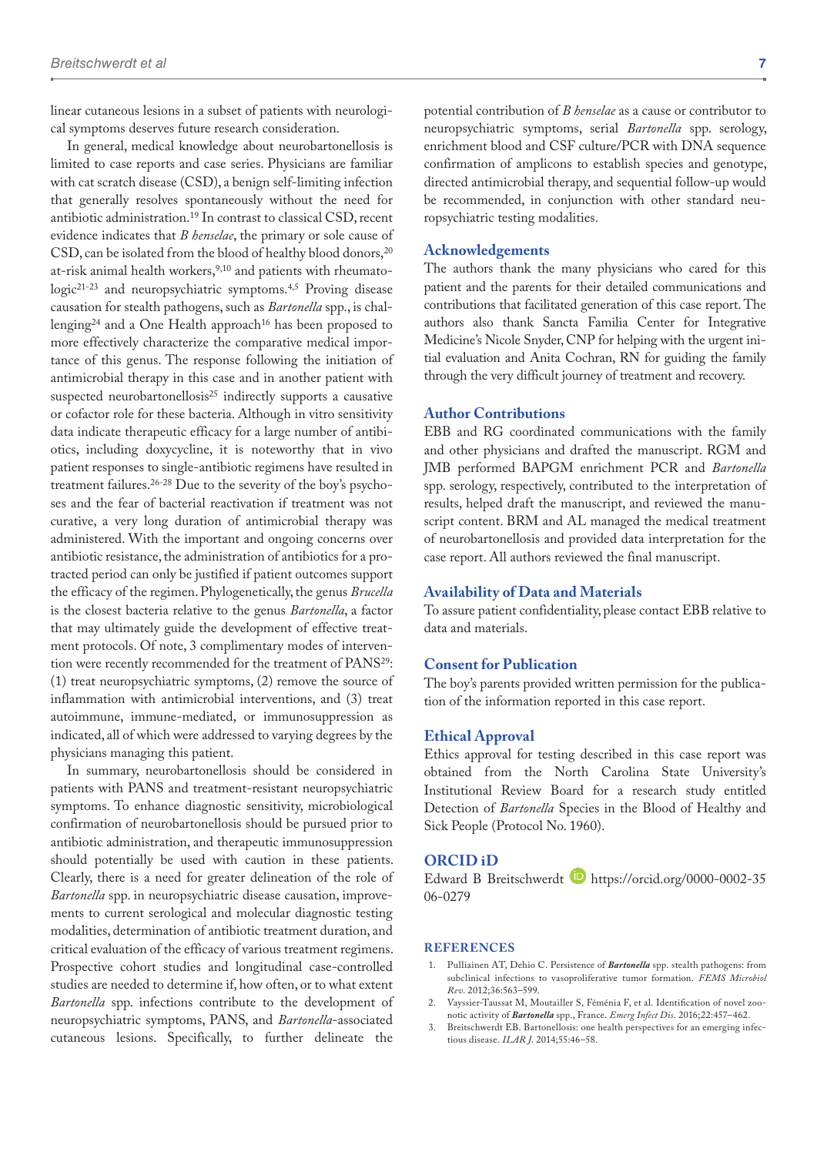linear cutaneous lesions in a subset of patients with neurological symptoms deserves future research consideration.

In general, medical knowledge about neurobartonellosis is limited to case reports and case series. Physicians are familiar with cat scratch disease (CSD), a benign self-limiting infection that generally resolves spontaneously without the need for antibiotic administration.19 In contrast to classical CSD, recent evidence indicates that *B henselae*, the primary or sole cause of CSD, can be isolated from the blood of healthy blood donors,<sup>20</sup> at-risk animal health workers,<sup>9,10</sup> and patients with rheumatologic<sup>21-23</sup> and neuropsychiatric symptoms.<sup>4,5</sup> Proving disease causation for stealth pathogens, such as *Bartonella* spp., is challenging<sup>24</sup> and a One Health approach<sup>16</sup> has been proposed to more effectively characterize the comparative medical importance of this genus. The response following the initiation of antimicrobial therapy in this case and in another patient with suspected neurobartonellosis<sup>25</sup> indirectly supports a causative or cofactor role for these bacteria. Although in vitro sensitivity data indicate therapeutic efficacy for a large number of antibiotics, including doxycycline, it is noteworthy that in vivo patient responses to single-antibiotic regimens have resulted in treatment failures.26-28 Due to the severity of the boy's psychoses and the fear of bacterial reactivation if treatment was not curative, a very long duration of antimicrobial therapy was administered. With the important and ongoing concerns over antibiotic resistance, the administration of antibiotics for a protracted period can only be justified if patient outcomes support the efficacy of the regimen. Phylogenetically, the genus *Brucella* is the closest bacteria relative to the genus *Bartonella*, a factor that may ultimately guide the development of effective treatment protocols. Of note, 3 complimentary modes of intervention were recently recommended for the treatment of PANS<sup>29</sup>: (1) treat neuropsychiatric symptoms, (2) remove the source of inflammation with antimicrobial interventions, and (3) treat autoimmune, immune-mediated, or immunosuppression as indicated, all of which were addressed to varying degrees by the physicians managing this patient.

In summary, neurobartonellosis should be considered in patients with PANS and treatment-resistant neuropsychiatric symptoms. To enhance diagnostic sensitivity, microbiological confirmation of neurobartonellosis should be pursued prior to antibiotic administration, and therapeutic immunosuppression should potentially be used with caution in these patients. Clearly, there is a need for greater delineation of the role of *Bartonella* spp. in neuropsychiatric disease causation, improvements to current serological and molecular diagnostic testing modalities, determination of antibiotic treatment duration, and critical evaluation of the efficacy of various treatment regimens. Prospective cohort studies and longitudinal case-controlled studies are needed to determine if, how often, or to what extent *Bartonella* spp. infections contribute to the development of neuropsychiatric symptoms, PANS, and *Bartonella*-associated cutaneous lesions. Specifically, to further delineate the

potential contribution of *B henselae* as a cause or contributor to neuropsychiatric symptoms, serial *Bartonella* spp. serology, enrichment blood and CSF culture/PCR with DNA sequence confirmation of amplicons to establish species and genotype, directed antimicrobial therapy, and sequential follow-up would be recommended, in conjunction with other standard neuropsychiatric testing modalities.

# **Acknowledgements**

The authors thank the many physicians who cared for this patient and the parents for their detailed communications and contributions that facilitated generation of this case report. The authors also thank Sancta Familia Center for Integrative Medicine's Nicole Snyder, CNP for helping with the urgent initial evaluation and Anita Cochran, RN for guiding the family through the very difficult journey of treatment and recovery.

# **Author Contributions**

EBB and RG coordinated communications with the family and other physicians and drafted the manuscript. RGM and JMB performed BAPGM enrichment PCR and *Bartonella* spp. serology, respectively, contributed to the interpretation of results, helped draft the manuscript, and reviewed the manuscript content. BRM and AL managed the medical treatment of neurobartonellosis and provided data interpretation for the case report. All authors reviewed the final manuscript.

#### **Availability of Data and Materials**

To assure patient confidentiality, please contact EBB relative to data and materials.

#### **Consent for Publication**

The boy's parents provided written permission for the publication of the information reported in this case report.

#### **Ethical Approval**

Ethics approval for testing described in this case report was obtained from the North Carolina State University's Institutional Review Board for a research study entitled Detection of *Bartonella* Species in the Blood of Healthy and Sick People (Protocol No. 1960).

#### **ORCID iD**

Edward B Breitschwerdt [https://orcid.org/0000-0002-35](https://orcid.org/0000-0002-3506-0279) [06-0279](https://orcid.org/0000-0002-3506-0279)

#### **References**

- 1. Pulliainen AT, Dehio C. Persistence of *Bartonella* spp. stealth pathogens: from subclinical infections to vasoproliferative tumor formation. *FEMS Microbiol Rev*. 2012;36:563–599.
- 2. Vayssier-Taussat M, Moutailler S, Féménia F, et al. Identification of novel zoonotic activity of *Bartonella* spp., France. *Emerg Infect Dis*. 2016;22:457–462.
- 3. Breitschwerdt EB. Bartonellosis: one health perspectives for an emerging infectious disease. *ILAR J*. 2014;55:46–58.